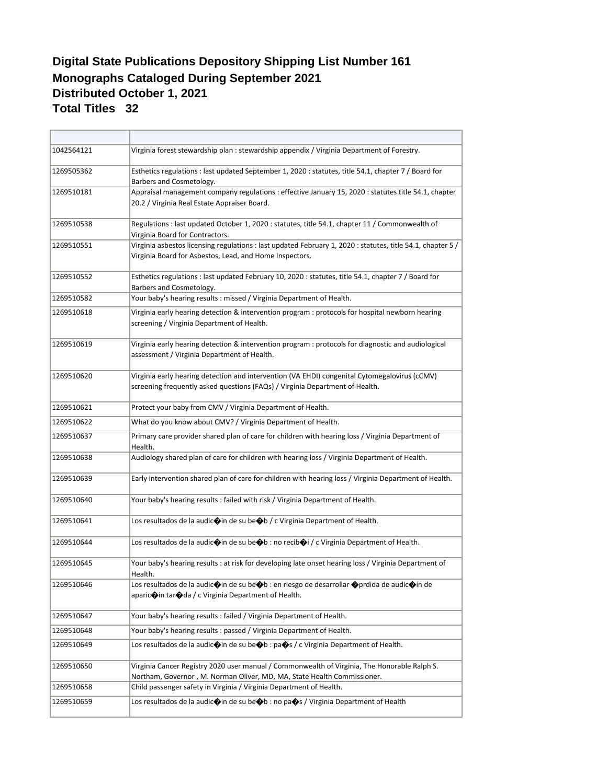## **Monographs Cataloged During September 2021 Distributed October 1, 2021 Total Titles 32 Digital State Publications Depository Shipping List Number 161**

| 1042564121 | Virginia forest stewardship plan : stewardship appendix / Virginia Department of Forestry.                                                                                                                         |
|------------|--------------------------------------------------------------------------------------------------------------------------------------------------------------------------------------------------------------------|
| 1269505362 | Esthetics regulations : last updated September 1, 2020 : statutes, title 54.1, chapter 7 / Board for<br>Barbers and Cosmetology.                                                                                   |
| 1269510181 | Appraisal management company regulations : effective January 15, 2020 : statutes title 54.1, chapter<br>20.2 / Virginia Real Estate Appraiser Board.                                                               |
| 1269510538 | Regulations : last updated October 1, 2020 : statutes, title 54.1, chapter 11 / Commonwealth of<br>Virginia Board for Contractors.                                                                                 |
| 1269510551 | Virginia asbestos licensing regulations : last updated February 1, 2020 : statutes, title 54.1, chapter 5 /<br>Virginia Board for Asbestos, Lead, and Home Inspectors.                                             |
| 1269510552 | Esthetics regulations : last updated February 10, 2020 : statutes, title 54.1, chapter 7 / Board for<br>Barbers and Cosmetology.                                                                                   |
| 1269510582 | Your baby's hearing results : missed / Virginia Department of Health.                                                                                                                                              |
| 1269510618 | Virginia early hearing detection & intervention program : protocols for hospital newborn hearing<br>screening / Virginia Department of Health.                                                                     |
| 1269510619 | Virginia early hearing detection & intervention program : protocols for diagnostic and audiological<br>assessment / Virginia Department of Health.                                                                 |
| 1269510620 | Virginia early hearing detection and intervention (VA EHDI) congenital Cytomegalovirus (cCMV)<br>screening frequently asked questions (FAQs) / Virginia Department of Health.                                      |
| 1269510621 | Protect your baby from CMV / Virginia Department of Health.                                                                                                                                                        |
| 1269510622 | What do you know about CMV? / Virginia Department of Health.                                                                                                                                                       |
| 1269510637 | Primary care provider shared plan of care for children with hearing loss / Virginia Department of<br>Health.                                                                                                       |
| 1269510638 | Audiology shared plan of care for children with hearing loss / Virginia Department of Health.                                                                                                                      |
| 1269510639 | Early intervention shared plan of care for children with hearing loss / Virginia Department of Health.                                                                                                             |
| 1269510640 | Your baby's hearing results : failed with risk / Virginia Department of Health.                                                                                                                                    |
| 1269510641 | Los resultados de la audic $\bigcirc$ in de su be $\bigcirc$ b / c Virginia Department of Health.                                                                                                                  |
| 1269510644 | Los resultados de la audic $\bigcirc$ in de su be $\bigcirc$ b : no recib $\bigcirc$ i / c Virginia Department of Health.                                                                                          |
| 1269510645 | Your baby's hearing results : at risk for developing late onset hearing loss / Virginia Department of<br>Health.                                                                                                   |
| 1269510646 | Los resultados de la audic $\bigcirc$ in de su be $\bigcirc$ b : en riesgo de desarrollar $\bigcirc$ prdida de audic $\bigcirc$ in de<br>aparic $\bigcirc$ in tar $\bigcirc$ da / c Virginia Department of Health. |
| 1269510647 | Your baby's hearing results : failed / Virginia Department of Health.                                                                                                                                              |
| 1269510648 | Your baby's hearing results: passed / Virginia Department of Health.                                                                                                                                               |
| 1269510649 | Los resultados de la audic $\bigcirc$ in de su be $\bigcirc$ b : pa $\bigcirc$ s / c Virginia Department of Health.                                                                                                |
| 1269510650 | Virginia Cancer Registry 2020 user manual / Commonwealth of Virginia, The Honorable Ralph S.<br>Northam, Governor, M. Norman Oliver, MD, MA, State Health Commissioner.                                            |
| 1269510658 | Child passenger safety in Virginia / Virginia Department of Health.                                                                                                                                                |
| 1269510659 | Los resultados de la audic⊕in de su be+b : no pa→s / Virginia Department of Health                                                                                                                                 |